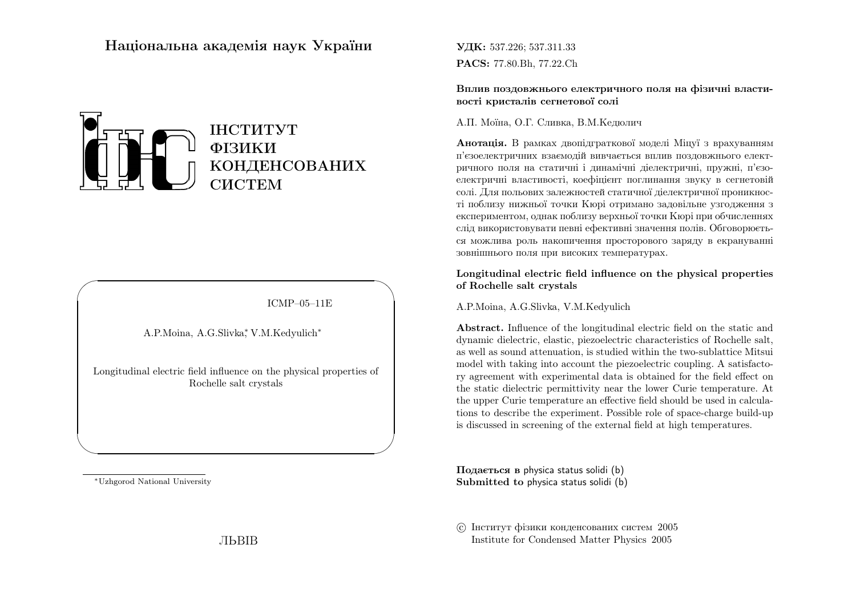# Нацiональна академiя наук України



### ICMP–05–11E

✩

 $\mathcal{S}$ 

A.P.Moina, A.G.Slivka∗, V.M.Kedyulich∗

Longitudinal electric field influence on the <sup>p</sup>hysical properties of Rochelle salt crystals

<sup>∗</sup>Uzhgorod National University

 $\sqrt{2}$ 

 $\setminus$ 

УДК: 537.226; 537.311.33PACS: 77.80.Bh, 77.22.Ch

Вплив поздовжнього електричного поля на фiзичнi властивостi кристалiв сегнетової солi

А.П. Моїна, О.Г. Сливка, В.М.Кедюлич

**Анотація.** В рамках двопідграткової моделі Міцуї з врахуванням <sup>п</sup>'єзоелектричних взаємодiй вивчається вплив поздовжнього електричного поля на статичнi <sup>i</sup> динамiчнi дiелектричнi, пружнi, <sup>п</sup>'єзоелектричн<sup>i</sup> властивостi, коефiцiєнт поглинання звуку <sup>в</sup> сегнетовiй солi. Для польових залежностей статичної дiелектричної проникностi поблизу нижньої точки Кюрi отримано задовiльне узгодження <sup>з</sup> експериментом, однак поблизу верхньо<sup>ї</sup> точки Кюрi при обчисленнях слiд використовувати певнi ефективнi значення полiв. Обговорюється можлива роль накопичення просторового заряду <sup>в</sup> екрануванн<sup>i</sup> зовнiшнього поля при високих температурах.

### Longitudinal electric field influence on the <sup>p</sup>hysical propertiesof Rochelle salt crystals

A.P.Moina, A.G.Slivka, V.M.Kedyulich

Abstract. Influence of the longitudinal electric field on the static and dynamic dielectric, elastic, <sup>p</sup>iezoelectric characteristics of Rochelle salt, as well as sound attenuation, is studied within the two-sublattice Mitsui model with taking into account the <sup>p</sup>iezoelectric coupling. <sup>A</sup> satisfactory agreement with experimental data is obtained for the field effect on the static dielectric permittivity near the lower Curie temperature. At the upper Curie temperature an effective field should be used in calculations to describe the experiment. Possible role of space-charge build-upis discussed in screening of the external field at high temperatures.

Подається <sup>в</sup> physica status solidi (b) Submitted to physica status solidi (b)

 c Iнститут фiзики конденсованих систем <sup>2005</sup>Institute for Condensed Matter Physics <sup>2005</sup>

ЛЬВIВ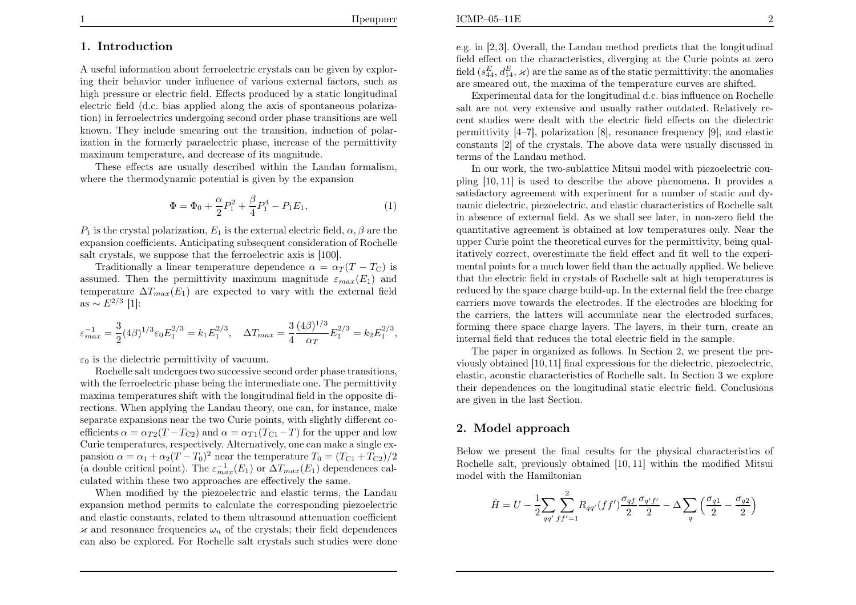,

# 1. Introduction

A useful information about ferroelectric crystals can be <sup>g</sup>iven by exploring their behavior under influence of various external factors, such as high pressure or electric field. Effects produced by <sup>a</sup> static longitudinal electric field (d.c. bias applied along the axis of spontaneous polarization) in ferroelectrics undergoing second order <sup>p</sup>hase transitions are well known. They include smearing out the transition, induction of polarization in the formerly paraelectric <sup>p</sup>hase, increase of the permittivitymaximum temperature, and decrease of its magnitude.

These effects are usually described within the Landau formalism, where the thermodynamic potential is <sup>g</sup>iven by the expansion

$$
\Phi = \Phi_0 + \frac{\alpha}{2} P_1^2 + \frac{\beta}{4} P_1^4 - P_1 E_1,\tag{1}
$$

 $P_1$  is the crystal polarization,  $E_1$  is the external electric field,  $\alpha, \beta$  are the expansion coefficients. Anticipating subsequent consideration of Rochellesalt crystals, we suppose that the ferroelectric axis is [100].

Traditionally a linear temperature dependence  $\alpha = \alpha_T (T - T_C)$  is assumed. Then the permittivity maximum magnitude  $\varepsilon_{max}(E_1)$  and temperature  $\Delta T_{max}(E_1)$  are expected to vary with the external field as  $\sim E^{2/3}$  [1]:

$$
\varepsilon_{max}^{-1} = \frac{3}{2} (4\beta)^{1/3} \varepsilon_0 E_1^{2/3} = k_1 E_1^{2/3}, \quad \Delta T_{max} = \frac{3}{4} \frac{(4\beta)^{1/3}}{\alpha_T} E_1^{2/3} = k_2 E_1^{2/3}
$$

 $\varepsilon_0$  is the dielectric permittivity of vacuum.

Rochelle salt undergoes two successive second order <sup>p</sup>hase transitions, with the ferroelectric <sup>p</sup>hase being the intermediate one. The permittivity maxima temperatures shift with the longitudinal field in the opposite directions. When applying the Landau theory, one can, for instance, make separate expansions near the two Curie points, with slightly different coefficients  $\alpha = \alpha_{T2}(T-T_{C2})$  and  $\alpha = \alpha_{T1}(T_{C1}-T)$  for the upper and low Curie temperatures, respectively. Alternatively, one can make a single expansion  $\alpha = \alpha_1 + \alpha_2 (T - T_0)^2$  near the temperature  $T_0 = (T_{C1} + T_{C2})/2$ (a double critical point). The  $\varepsilon_{max}^{-1}(E_1)$  or  $\Delta T_{max}(E_1)$  dependences cal-culated within these two approaches are effectively the same.

When modified by the <sup>p</sup>iezoelectric and elastic terms, the Landau expansion method permits to calculate the corresponding <sup>p</sup>iezoelectric and elastic constants, related to them ultrasound attenuation coefficient $\times$  and resonance frequencies  $\omega_n$  of the crystals; their field dependences can also be explored. For Rochelle salt crystals such studies were done e.g. in [2, 3]. Overall, the Landau method predicts that the longitudinal field effect on the characteristics, diverging at the Curie points at zerofield  $(s_{44}^E, d_{14}^E, \varkappa)$  are the same as of the static permittivity: the anomalies are smeared out, the maxima of the temperature curves are shifted.

Experimental data for the longitudinal d.c. bias influence on Rochelle salt are not very extensive and usually rather outdated. Relatively recent studies were dealt with the electric field effects on the dielectric permittivity [4–7], polarization [8], resonance frequency [9], and elastic constants [2] of the crystals. The above data were usually discussed interms of the Landau method.

In our work, the two-sublattice Mitsui model with <sup>p</sup>iezoelectric cou<sup>p</sup>ling [10, 11] is used to describe the above <sup>p</sup>henomena. It provides <sup>a</sup> satisfactory agreement with experiment for <sup>a</sup> number of static and dynamic dielectric, <sup>p</sup>iezoelectric, and elastic characteristics of Rochelle salt in absence of external field. As we shall see later, in non-zero field the quantitative agreement is obtained at low temperatures only. Near the upper Curie point the theoretical curves for the permittivity, being qualitatively correct, overestimate the field effect and fit well to the experimental points for <sup>a</sup> much lower field than the actually applied. We believe that the electric field in crystals of Rochelle salt at high temperatures is reduced by the space charge build-up. In the external field the free charge carriers move towards the electrodes. If the electrodes are blocking for the carriers, the latters will accumulate near the electroded surfaces, forming there space charge layers. The layers, in their turn, create aninternal field that reduces the total electric field in the sample.

The paper in organized as follows. In Section 2, we present the previously obtained [10,11] final expressions for the dielectric, <sup>p</sup>iezoelectric, elastic, acoustic characteristics of Rochelle salt. In Section <sup>3</sup> we explore their dependences on the longitudinal static electric field. Conclusionsare <sup>g</sup>iven in the last Section.

# 2. Model approach

Below we present the final results for the <sup>p</sup>hysical characteristics of Rochelle salt, previously obtained [10, 11] within the modified Mitsui model with the Hamiltonian

$$
\hat{H} = U - \frac{1}{2} \sum_{qq'} \sum_{ff'=1}^{2} R_{qq'} (ff') \frac{\sigma_{qf}}{2} \frac{\sigma_{q'f'}}{2} - \Delta \sum_{q} \left( \frac{\sigma_{q1}}{2} - \frac{\sigma_{q2}}{2} \right)
$$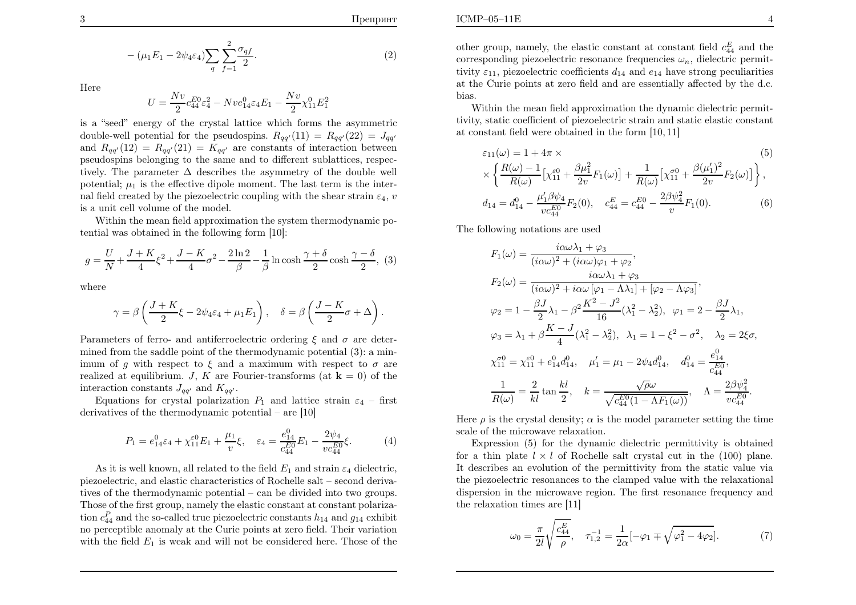$$
-(\mu_1 E_1 - 2\psi_4 \varepsilon_4) \sum_q \sum_{f=1}^2 \frac{\sigma_{qf}}{2}.
$$
\n(2)

Here

$$
U=\frac{Nv}{2}c_{44}^{E0}\varepsilon_4^2-Nve_{14}^0\varepsilon_4E_1-\frac{Nv}{2}\chi_{11}^0E_1^2
$$

 is <sup>a</sup> "seed" energy of the crystal lattice which forms the asymmetricdouble-well potential for the pseudospins.  $R_{qq'}(11) = R_{qq'}(22) = J_{qq'}$ and  $R_{qq'}(12) = R_{qq'}(21) = K_{qq'}$  are constants of interaction between pseudospins belonging to the same and to different sublattices, respectively. The parameter  $\Delta$  describes the asymmetry of the double well potential;  $\mu_1$  is the effective dipole moment. The last term is the internal field created by the piezoelectric coupling with the shear strain  $\varepsilon_4$ , v is <sup>a</sup> unit cell volume of the model.

Within the mean field approximation the system thermodynamic potential was obtained in the following form [10]:

$$
g = \frac{U}{N} + \frac{J + K}{4}\xi^2 + \frac{J - K}{4}\sigma^2 - \frac{2\ln 2}{\beta} - \frac{1}{\beta}\ln\cosh\frac{\gamma + \delta}{2}\cosh\frac{\gamma - \delta}{2},
$$
 (3)

where

$$
\gamma = \beta \left( \frac{J + K}{2} \xi - 2\psi_4 \varepsilon_4 + \mu_1 E_1 \right), \quad \delta = \beta \left( \frac{J - K}{2} \sigma + \Delta \right).
$$

Parameters of ferro- and antiferroelectric ordering  $\xi$  and  $\sigma$  are deter mined from the saddle point of the thermodynamic potential (3): <sup>a</sup> minimum of g with respect to  $\xi$  and a maximum with respect to  $\sigma$  are realized at equilibrium.  $J, K$  are Fourier-transforms (at  $\mathbf{k} = 0$ ) of the interaction constants  $J_{qq'}$  and  $K_{qq'}$ .

Equations for crystal polarization  $P_1$  and lattice strain  $\varepsilon_4$  – first derivatives of the thermodynamic potential – are [10]

$$
P_1 = e_{14}^0 \varepsilon_4 + \chi_{11}^{\varepsilon 0} E_1 + \frac{\mu_1}{v} \xi, \quad \varepsilon_4 = \frac{e_{14}^0}{c_{44}^{E_0}} E_1 - \frac{2\psi_4}{v c_{44}^{E_0}} \xi.
$$
 (4)

As it is well known, all related to the field  $E_1$  and strain  $\varepsilon_4$  dielectric, <sup>p</sup>iezoelectric, and elastic characteristics of Rochelle salt – second derivatives of the thermodynamic potential – can be divided into two groups. Those of the first group, namely the elastic constant at constant polarization  $c_{44}^P$  and the so-called true piezoelectric constants  $h_{14}$  and  $g_{14}$  exhibit no perceptible anomaly at the Curie points at zero field. Their variationwith the field  $E_1$  is weak and will not be considered here. Those of the

other group, namely, the elastic constant at constant field  $c_{44}^E$  and the corresponding piezoelectric resonance frequencies  $\omega_n$ , dielectric permittivity  $\varepsilon_{11}$ , piezoelectric coefficients  $d_{14}$  and  $e_{14}$  have strong peculiarities at the Curie points at zero field and are essentially affected by the d.c. bias.

 Within the mean field approximation the dynamic dielectric permittivity, static coefficient of <sup>p</sup>iezoelectric strain and static elastic constantat constant field were obtained in the form [10, 11]

$$
\varepsilon_{11}(\omega) = 1 + 4\pi \times \tag{5}
$$
\n
$$
\times \left\{ \frac{R(\omega) - 1}{R(\omega)} \left[ \chi_{11}^{\varepsilon 0} + \frac{\beta \mu_1^2}{2v} F_1(\omega) \right] + \frac{1}{R(\omega)} \left[ \chi_{11}^{\sigma 0} + \frac{\beta (\mu_1')^2}{2v} F_2(\omega) \right] \right\},
$$
\n
$$
d_{14} = d_{14}^0 - \frac{\mu_1' \beta \psi_4}{vc_{44}^{E_0}} F_2(0), \quad c_{44}^E = c_{44}^{E_0} - \frac{2\beta \psi_4^2}{v} F_1(0). \tag{6}
$$

The following notations are used

$$
F_1(\omega) = \frac{i\alpha\omega\lambda_1 + \varphi_3}{(i\alpha\omega)^2 + (i\alpha\omega)\varphi_1 + \varphi_2},
$$
  
\n
$$
F_2(\omega) = \frac{i\alpha\omega\lambda_1 + \varphi_3}{(i\alpha\omega)^2 + i\alpha\omega[\varphi_1 - \Lambda\lambda_1] + [\varphi_2 - \Lambda\varphi_3]},
$$
  
\n
$$
\varphi_2 = 1 - \frac{\beta J}{2}\lambda_1 - \beta^2 \frac{K^2 - J^2}{16}(\lambda_1^2 - \lambda_2^2), \ \varphi_1 = 2 - \frac{\beta J}{2}\lambda_1,
$$
  
\n
$$
\varphi_3 = \lambda_1 + \beta \frac{K - J}{4}(\lambda_1^2 - \lambda_2^2), \ \lambda_1 = 1 - \xi^2 - \sigma^2, \ \lambda_2 = 2\xi\sigma,
$$
  
\n
$$
\chi_{11}^{\sigma 0} = \chi_{11}^{\varepsilon 0} + e_{14}^0 d_{14}^0, \quad \mu_1' = \mu_1 - 2\psi_4 d_{14}^0, \quad d_{14}^0 = \frac{e_{14}^0}{e_{44}^0},
$$
  
\n
$$
\frac{1}{R(\omega)} = \frac{2}{kl} \tan \frac{kl}{2}, \quad k = \frac{\sqrt{\rho}\omega}{\sqrt{c_{44}^{E0}(1 - \Lambda F_1(\omega))}}, \quad \Lambda = \frac{2\beta\psi_4^2}{vc_{44}^{E0}}.
$$

Here  $\rho$  is the crystal density;  $\alpha$  is the model parameter setting the time scale of the microwave relaxation.

Expression (5) for the dynamic dielectric permittivity is obtainedfor a thin plate  $l \times l$  of Rochelle salt crystal cut in the (100) plane. It describes an evolution of the permittivity from the static value via the <sup>p</sup>iezoelectric resonances to the clamped value with the relaxational dispersion in the microwave region. The first resonance frequency andthe relaxation times are [11]

$$
\omega_0 = \frac{\pi}{2l} \sqrt{\frac{c_{44}^E}{\rho}}, \quad \tau_{1,2}^{-1} = \frac{1}{2\alpha} [-\varphi_1 \mp \sqrt{\varphi_1^2 - 4\varphi_2}]. \tag{7}
$$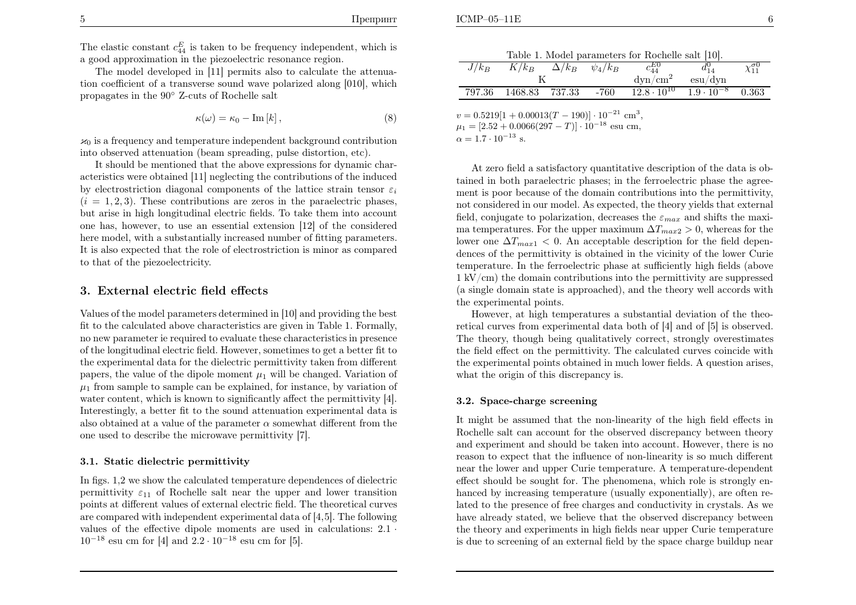The elastic constant  $c_{44}^E$  is taken to be frequency independent, which is <sup>a</sup> good approximation in the <sup>p</sup>iezoelectric resonance region.

The model developed in [11] permits also to calculate the attenuation coefficient of <sup>a</sup> transverse sound wave polarized along [010], whichpropagates in the <sup>90</sup>◦ Z-cuts of Rochelle salt

$$
\kappa(\omega) = \kappa_0 - \text{Im}[k],\tag{8}
$$

 $\kappa_0$  is a frequency and temperature independent background contribution into observed attenuation (beam spreading, pulse distortion, etc).

It should be mentioned that the above expressions for dynamic characteristics were obtained [11] neglecting the contributions of the inducedby electrostriction diagonal components of the lattice strain tensor  $\varepsilon_i$  $(i = 1, 2, 3)$ . These contributions are zeros in the paraelectric phases, but arise in high longitudinal electric fields. To take them into account one has, however, to use an essential extension [12] of the considered here model, with <sup>a</sup> substantially increased number of fitting parameters. It is also expected that the role of electrostriction is minor as comparedto that of the <sup>p</sup>iezoelectricity.

### 3. External electric field effects

Values of the model parameters determined in [10] and providing the best fit to the calculated above characteristics are <sup>g</sup>iven in Table 1. Formally, no new parameter ie required to evaluate these characteristics in presence of the longitudinal electric field. However, sometimes to get <sup>a</sup> better fit to the experimental data for the dielectric permittivity taken from differentpapers, the value of the dipole moment  $\mu_1$  will be changed. Variation of  $\mu_1$  from sample to sample can be explained, for instance, by variation of water content, which is known to significantly affect the permittivity [4]. Interestingly, <sup>a</sup> better fit to the sound attenuation experimental data isalso obtained at a value of the parameter  $\alpha$  somewhat different from the one used to describe the microwave permittivity [7].

#### 3.1. Static dielectric permittivity

In figs. 1,2 we show the calculated temperature dependences of dielectricpermittivity  $\varepsilon_{11}$  of Rochelle salt near the upper and lower transition points at different values of external electric field. The theoretical curves are compared with independent experimental data of [4,5]. The following values of the effective dipole moments are used in calculations: <sup>2</sup>.<sup>1</sup> ·  $10^{-18}$  esu cm for [4] and  $2.2 \cdot 10^{-18}$  esu cm for [5].

| $J/k_B$ | $K/k_B$ | $\Delta/k_B$ | $\psi_4/k_B$ | $c_{44}^{E0}$        | $d_{14}^0$                  | $\chi_{11}^{\sigma 0}$ |
|---------|---------|--------------|--------------|----------------------|-----------------------------|------------------------|
|         |         |              |              |                      | $\mathrm{esu}/\mathrm{dyn}$ |                        |
| 797.36  | 1468.83 | 737.33       | $-760$       | $12.8 \cdot 10^{10}$ | $1.9 \cdot 10^{-8}$         | 0.363                  |

 $v = 0.5219[1 + 0.00013(T - 190)] \cdot 10^{-21}$  cm<sup>3</sup>,<br>[0.53 + 0.0066(997 -  $T_{\text{D}}^{11}$  19<sup>-18</sup>  $\mu_1 = [2.52 + 0.0066(297 - T)] \cdot 10^{-18}$  esu cm,  $\alpha = 1.7 \cdot 10^{-13}$  s.

At zero field <sup>a</sup> satisfactory quantitative description of the data is obtained in both paraelectric <sup>p</sup>hases; in the ferroelectric <sup>p</sup>hase the agreement is poor because of the domain contributions into the permittivity, not considered in our model. As expected, the theory <sup>y</sup>ields that external field, conjugate to polarization, decreases the  $\varepsilon_{max}$  and shifts the maxima temperatures. For the upper maximum  $\Delta T_{max2} > 0$ , whereas for the lower one  $\Delta T_{max1} < 0$ . An acceptable description for the field depen- dences of the permittivity is obtained in the vicinity of the lower Curie temperature. In the ferroelectric <sup>p</sup>hase at sufficiently high fields (above  $1 \text{ kV/cm}$ ) the domain contributions into the permittivity are suppressed (a single domain state is approached), and the theory well accords withthe experimental points.

However, at high temperatures <sup>a</sup> substantial deviation of the theoretical curves from experimental data both of [4] and of [5] is observed. The theory, though being qualitatively correct, strongly overestimates the field effect on the permittivity. The calculated curves coincide with the experimental points obtained in much lower fields. <sup>A</sup> question arises, what the origin of this discrepancy is.

#### 3.2. Space-charge screening

It might be assumed that the non-linearity of the high field effects in Rochelle salt can account for the observed discrepancy between theory and experiment and should be taken into account. However, there is no reason to expect that the influence of non-linearity is so much different near the lower and upper Curie temperature. <sup>A</sup> temperature-dependent effect should be sought for. The <sup>p</sup>henomena, which role is strongly enhanced by increasing temperature (usually exponentially), are often related to the presence of free charges and conductivity in crystals. As we have already stated, we believe that the observed discrepancy between the theory and experiments in high fields near upper Curie temperatureis due to screening of an external field by the space charge buildup near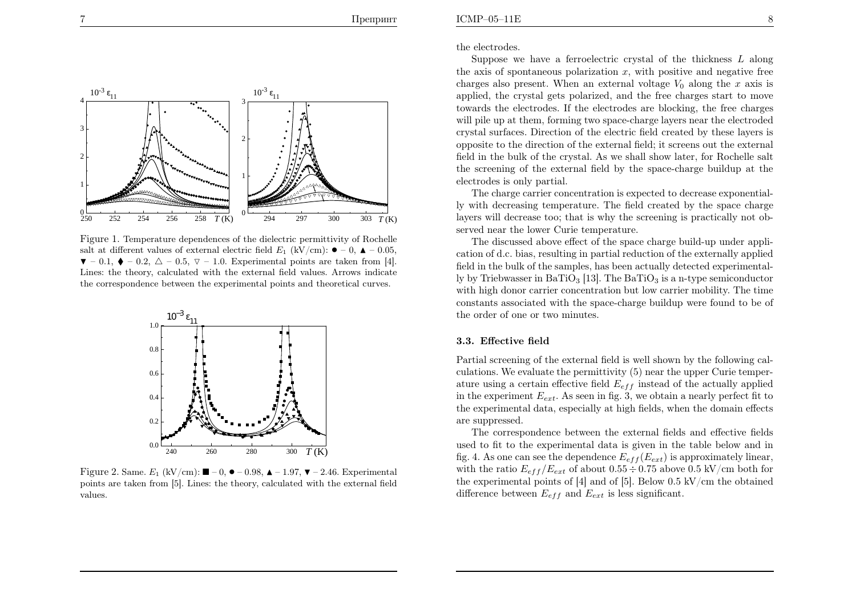

Figure 1. Temperature dependences of the dielectric permittivity of Rochellesalt at different values of external electric field  $E_1$  (kV/cm):  $\bullet$  - 0,  $\bullet$  - 0.05,  $\blacktriangledown -0.1, \blacklozenge -0.2, \triangle -0.5, \triangledown -1.0$ . Experimental points are taken from [4]. Lines: the theory, calculated with the external field values. Arrows indicatethe correspondence between the experimental points and theoretical curves.



Figure 2. Same.  $E_1$  (kV/cm):  $\blacksquare$  – 0,  $\blacklozenge$  – 0.98,  $\blacktriangle$  – 1.97,  $\blacktriangledown$  – 2.46. Experimental points are taken from [5]. Lines: the theory, calculated with the external fieldvalues.

the electrodes.

Suppose we have a ferroelectric crystal of the thickness  $L$  along the axis of spontaneous polarization  $x$ , with positive and negative free charges also present. When an external voltage  $V_0$  along the  $x$  axis is applied, the crystal gets polarized, and the free charges start to move towards the electrodes. If the electrodes are blocking, the free charges will pile up at them, forming two space-charge layers near the electroded crystal surfaces. Direction of the electric field created by these layers is opposite to the direction of the external field; it screens out the external field in the bulk of the crystal. As we shall show later, for Rochelle salt the screening of the external field by the space-charge buildup at theelectrodes is only partial.

The charge carrier concentration is expected to decrease exponentially with decreasing temperature. The field created by the space charge layers will decrease too; that is why the screening is practically not observed near the lower Curie temperature.

The discussed above effect of the space charge build-up under application of d.c. bias, resulting in partial reduction of the externally applied field in the bulk of the samples, has been actually detected experimentally by Triebwasser in BaTiO<sub>3</sub> [13]. The BaTiO<sub>3</sub> is a n-type semiconductor with high donor carrier concentration but low carrier mobility. The time constants associated with the space-charge buildup were found to be of the order of one or two minutes.

#### 3.3. Effective field

Partial screening of the external field is well shown by the following calculations. We evaluate the permittivity (5) near the upper Curie temperature using a certain effective field  $E_{eff}$  instead of the actually applied in the experiment  $E_{ext}$ . As seen in fig. 3, we obtain a nearly perfect fit to the experimental data, especially at high fields, when the domain effectsare suppressed.

The correspondence between the external fields and effective fields used to fit to the experimental data is given in the table below and in fig. 4. As one can see the dependence  $E_{eff}(E_{ext})$  is approximately linear, with the ratio  $E_{eff} / E_{ext}$  of about  $0.55 \div 0.75$  above  $0.5 \text{ kV/cm}$  both for the experimental points of  $[4]$  and of  $[5]$ . Below 0.5 kV/cm the obtained difference between  $E_{eff}$  and  $E_{ext}$  is less significant.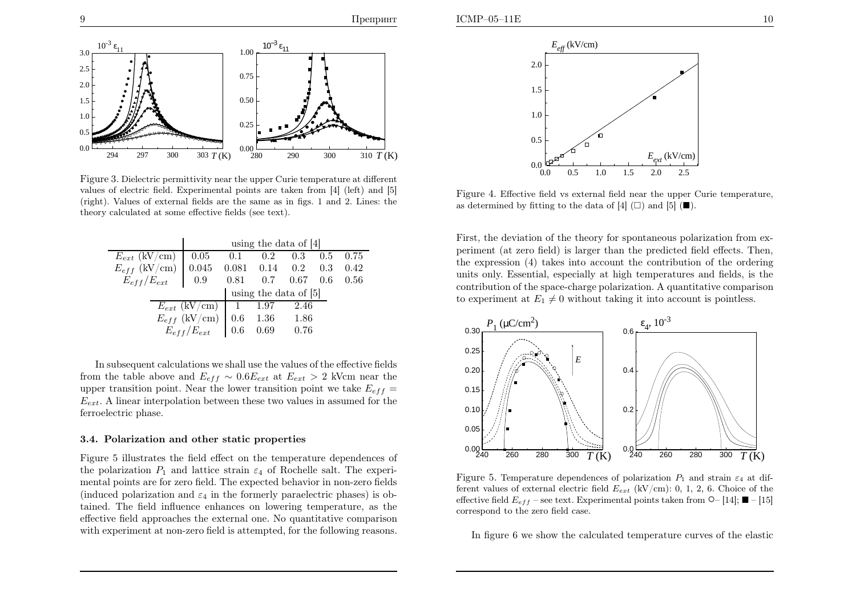



Figure 3. Dielectric permittivity near the upper Curie temperature at differentvalues of electric field. Experimental points are taken from  $[4]$  (left) and  $[5]$ (right). Values of external fields are the same as in figs. <sup>1</sup> and 2. Lines: the theory calculated at some effective fields (see text).

|                                                       | using the data of $ 4 $ |  |                                |      |  |  |  |  |  |
|-------------------------------------------------------|-------------------------|--|--------------------------------|------|--|--|--|--|--|
| $E_{ext}$ (kV/cm)                                     | 0.05                    |  | $0.1$ $0.2$ $0.3$ $0.5$ $0.75$ |      |  |  |  |  |  |
| $E_{eff}$ (kV/cm)   0.045 0.081 0.14 0.2 0.3 0.42     |                         |  |                                |      |  |  |  |  |  |
| $E_{eff}/E_{ext}$   0.9 0.81 0.7 0.67 0.6 0.56        |                         |  |                                |      |  |  |  |  |  |
|                                                       | using the data of [5]   |  |                                |      |  |  |  |  |  |
| $E_{ext}$ (kV/cm)   1 1.97                            |                         |  |                                | 2.46 |  |  |  |  |  |
| $E_{eff}$ (kV/cm)   0.6<br>$\,$ 1.36<br>$\,$ 1.86<br> |                         |  |                                |      |  |  |  |  |  |
| $E_{eff}/E_{ext}$   0.6 0.69 0.76                     |                         |  |                                |      |  |  |  |  |  |

In subsequent calculations we shall use the values of the effective fieldsfrom the table above and  $E_{eff} \sim 0.6E_{ext}$  at  $E_{ext} > 2$  kVcm near the upper transition point. Near the lower transition point we take  $E_{eff}$  =  $E_{ext}$ . A linear interpolation between these two values in assumed for the ferroelectric <sup>p</sup>hase.

#### 3.4. Polarization and other static properties

Figure <sup>5</sup> illustrates the field effect on the temperature dependences of the polarization  $P_1$  and lattice strain  $\varepsilon_4$  of Rochelle salt. The experimental points are for zero field. The expected behavior in non-zero fields(induced polarization and  $\varepsilon_4$  in the formerly paraelectric phases) is obtained. The field influence enhances on lowering temperature, as the effective field approaches the external one. No quantitative comparisonwith experiment at non-zero field is attempted, for the following reasons.



Figure 4. Effective field vs external field near the upper Curie temperature, as determined by fitting to the data of [4]  $(\square)$  and [5]  $(\blacksquare)$ .

First, the deviation of the theory for spontaneous polarization from experiment (at zero field) is larger than the predicted field effects. Then, the expression (4) takes into account the contribution of the ordering units only. Essential, especially at high temperatures and fields, is the contribution of the space-charge polarization. <sup>A</sup> quantitative comparisonto experiment at  $E_1 \neq 0$  without taking it into account is pointless.



Figure 5. Temperature dependences of polarization  $P_1$  and strain  $\varepsilon_4$  at different values of external electric field  $E_{ext}$  (kV/cm): 0, 1, 2, 6. Choice of the effective field  $E_{eff}$  – see text. Experimental points taken from  $\mathsf{O}$ – [14];  $\blacksquare$  – [15] correspond to the zero field case.

In figure <sup>6</sup> we show the calculated temperature curves of the elastic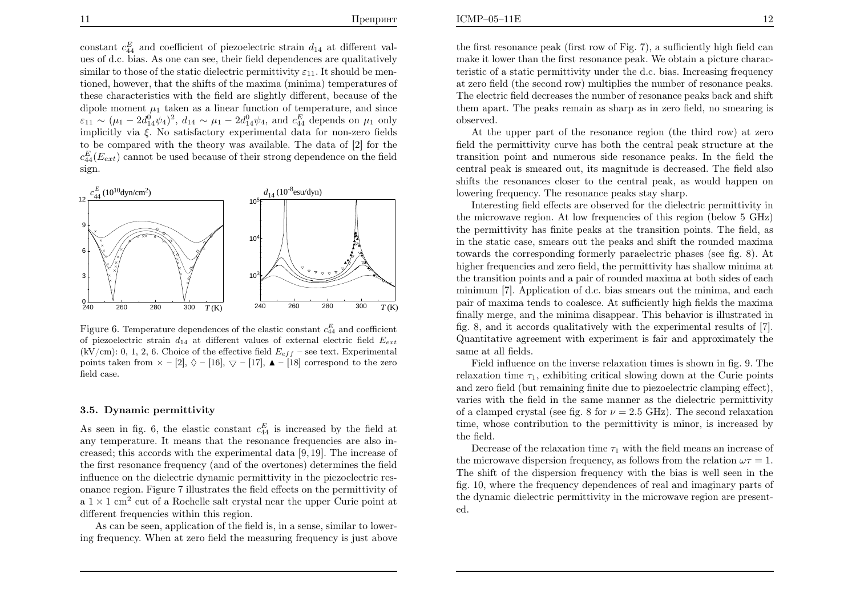constant  $c_{44}^E$  and coefficient of piezoelectric strain  $d_{14}$  at different val ues of d.c. bias. As one can see, their field dependences are qualitativelysimilar to those of the static dielectric permittivity  $\varepsilon_{11}$ . It should be mentioned, however, that the shifts of the maxima (minima) temperatures of these characteristics with the field are slightly different, because of thedipole moment  $\mu_1$  taken as a linear function of temperature, and since  $\varepsilon_{11} \sim (\mu_1 - 2d_{14}^0 \psi_4)^2$ ,  $d_{14} \sim \mu_1 - 2d_{14}^0 \psi_4$ , and  $c_{44}^E$  depends on  $\mu_1$  only implicitly via  $\xi$ . No satisfactory experimental data for non-zero fields to be compared with the theory was available. The data of [2] for the $c_{44}^{E}(E_{ext})$  cannot be used because of their strong dependence on the field sign.



Figure 6. Temperature dependences of the elastic constant  $c_{44}^E$  and coefficient of piezoelectric strain  $d_{14}$  at different values of external electric field  $E_{ext}$ (kV/cm): 0, 1, 2, 6. Choice of the effective field  $E_{eff}$  – see text. Experimental points taken from  $\times -[2], \Diamond -[16], \bigtriangledown -[17], \blacktriangle -[18]$  correspond to the zero<br>field case field case.

#### 3.5. Dynamic permittivity

As seen in fig. 6, the elastic constant  $c_{44}^E$  is increased by the field at any temperature. It means that the resonance frequencies are also increased; this accords with the experimental data [9, 19]. The increase of the first resonance frequency (and of the overtones) determines the field influence on the dielectric dynamic permittivity in the <sup>p</sup>iezoelectric resonance region. Figure <sup>7</sup> illustrates the field effects on the permittivity of  $a \times 1$  cm<sup>2</sup> cut of a Rochelle salt crystal near the upper Curie point at different frequencies within this region.

As can be seen, application of the field is, in <sup>a</sup> sense, similar to lowering frequency. When at zero field the measuring frequency is just above the first resonance pea<sup>k</sup> (first row of Fig. 7), <sup>a</sup> sufficiently high field can make it lower than the first resonance peak. We obtain <sup>a</sup> <sup>p</sup>icture characteristic of <sup>a</sup> static permittivity under the d.c. bias. Increasing frequency at zero field (the second row) multiplies the number of resonance peaks. The electric field decreases the number of resonance peaks back and shift them apart. The peaks remain as sharp as in zero field, no smearing isobserved.

 At the upper part of the resonance region (the third row) at zero field the permittivity curve has both the central pea<sup>k</sup> structure at the transition point and numerous side resonance peaks. In the field the central pea<sup>k</sup> is smeared out, its magnitude is decreased. The field also shifts the resonances closer to the central peak, as would happen onlowering frequency. The resonance peaks stay sharp.

Interesting field effects are observed for the dielectric permittivity in the microwave region. At low frequencies of this region (below <sup>5</sup> GHz) the permittivity has finite peaks at the transition points. The field, as in the static case, smears out the peaks and shift the rounded maxima towards the corresponding formerly paraelectric <sup>p</sup>hases (see fig. 8). At higher frequencies and zero field, the permittivity has shallow minima at the transition points and <sup>a</sup> pair of rounded maxima at both sides of each minimum [7]. Application of d.c. bias smears out the minima, and each pair of maxima tends to coalesce. At sufficiently high fields the maxima finally merge, and the minima disappear. This behavior is illustrated in fig. 8, and it accords qualitatively with the experimental results of [7]. Quantitative agreement with experiment is fair and approximately thesame at all fields.

Field influence on the inverse relaxation times is shown in fig. 9. Therelaxation time  $\tau_1$ , exhibiting critical slowing down at the Curie points and zero field (but remaining finite due to <sup>p</sup>iezoelectric clamping effect), varies with the field in the same manner as the dielectric permittivityof a clamped crystal (see fig. 8 for  $\nu = 2.5$  GHz). The second relaxation time, whose contribution to the permittivity is minor, is increased bythe field.

Decrease of the relaxation time  $\tau_1$  with the field means an increase of the microwave dispersion frequency, as follows from the relation  $\omega \tau = 1$ . The shift of the dispersion frequency with the bias is well seen in the fig. 10, where the frequency dependences of real and imaginary parts of the dynamic dielectric permittivity in the microwave region are presented.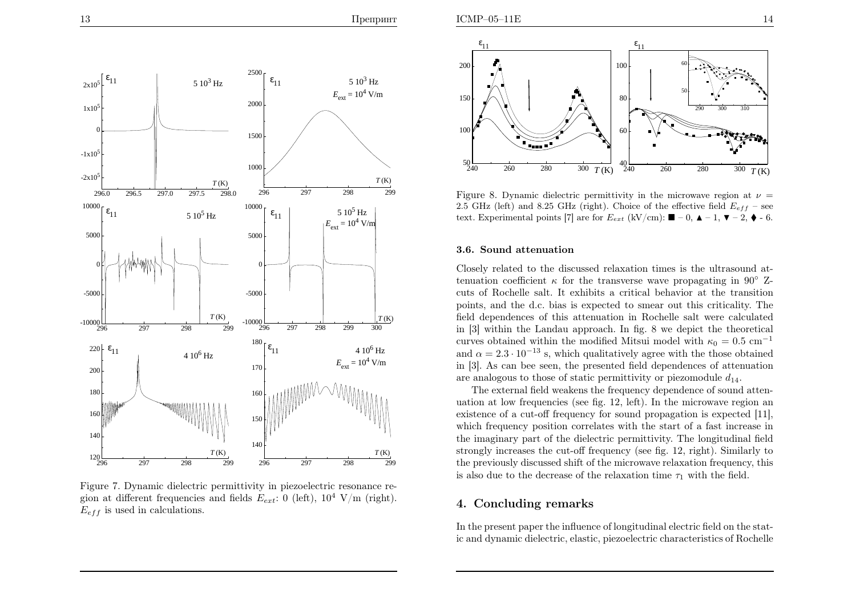

Figure 7. Dynamic dielectric permittivity in <sup>p</sup>iezoelectric resonance region at different frequencies and fields  $E_{ext}$ : 0 (left),  $10^4$  V/m (right).  $E_{eff}$  is used in calculations.



Figure 8. Dynamic dielectric permittivity in the microwave region at  $\nu =$ 2.5 GHz (left) and 8.25 GHz (right). Choice of the effective field  $E_{eff}$  – see text. Experimental points [7] are for  $E_{ext}$  (kV/cm):  $\blacksquare - 0$ ,  $\blacktriangle - 1$ ,  $\nabla - 2$ ,  $\blacklozenge$  - 6.

#### 3.6. Sound attenuation

Closely related to the discussed relaxation times is the ultrasound attenuation coefficient  $\kappa$  for the transverse wave propagating in 90<sup>°</sup> Zcuts of Rochelle salt. It exhibits <sup>a</sup> critical behavior at the transition points, and the d.c. bias is expected to smear out this criticality. The field dependences of this attenuation in Rochelle salt were calculated in [3] within the Landau approach. In fig. <sup>8</sup> we depict the theoretical curves obtained within the modified Mitsui model with  $\kappa_0 = 0.5$  cm<sup>-1</sup> and  $\alpha = 2.3 \cdot 10^{-13}$  s, which qualitatively agree with the those obtained in [3]. As can bee seen, the presented field dependences of attenuationare analogous to those of static permittivity or piezomodule  $d_{14}$ .

The external field weakens the frequency dependence of sound attenuation at low frequencies (see fig. 12, left). In the microwave region an existence of <sup>a</sup> cut-off frequency for sound propagation is expected [11], which frequency position correlates with the start of <sup>a</sup> fast increase in the imaginary part of the dielectric permittivity. The longitudinal field strongly increases the cut-off frequency (see fig. 12, right). Similarly to the previously discussed shift of the microwave relaxation frequency, this is also due to the decrease of the relaxation time  $\tau_1$  with the field.

# 4. Concluding remarks

In the present paper the influence of longitudinal electric field on the static and dynamic dielectric, elastic, <sup>p</sup>iezoelectric characteristics of Rochelle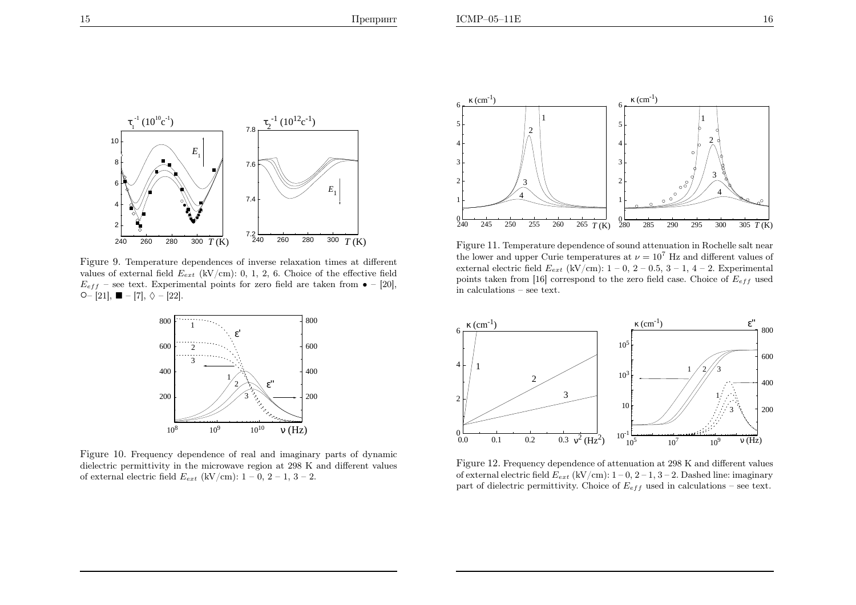

Figure 9. Temperature dependences of inverse relaxation times at differentvalues of external field  $E_{ext}$  (kV/cm): 0, 1, 2, 6. Choice of the effective field  $E_{eff}$  – see text. Experimental points for zero field are taken from  $\bullet$  – [20],  $\circ$  – [21], ■ – [7],  $\lozenge$  – [22].



Figure 10. Frequency dependence of real and imaginary parts of dynamic dielectric permittivity in the microwave region at <sup>298</sup> <sup>K</sup> and different values of external electric field  $E_{ext}$  (kV/cm):  $1 - 0$ ,  $2 - 1$ ,  $3 - 2$ .



Figure 11. Temperature dependence of sound attenuation in Rochelle salt nearthe lower and upper Curie temperatures at  $\nu = 10^7$  Hz and different values of external electric field  $E_{ext}$  (kV/cm):  $1-0$ ,  $2-0.5$ ,  $3-1$ ,  $4-2$ . Experimental points taken from [16] correspond to the zero field case. Choice of  $E_{eff}$  used in calculations – see text.



Figure 12. Frequency dependence of attenuation at <sup>298</sup> <sup>K</sup> and different valuesof external electric field  $E_{ext}$  (kV/cm):  $1-0$ ,  $2-1$ ,  $3-2$ . Dashed line: imaginary part of dielectric permittivity. Choice of  $E_{eff}$  used in calculations – see text.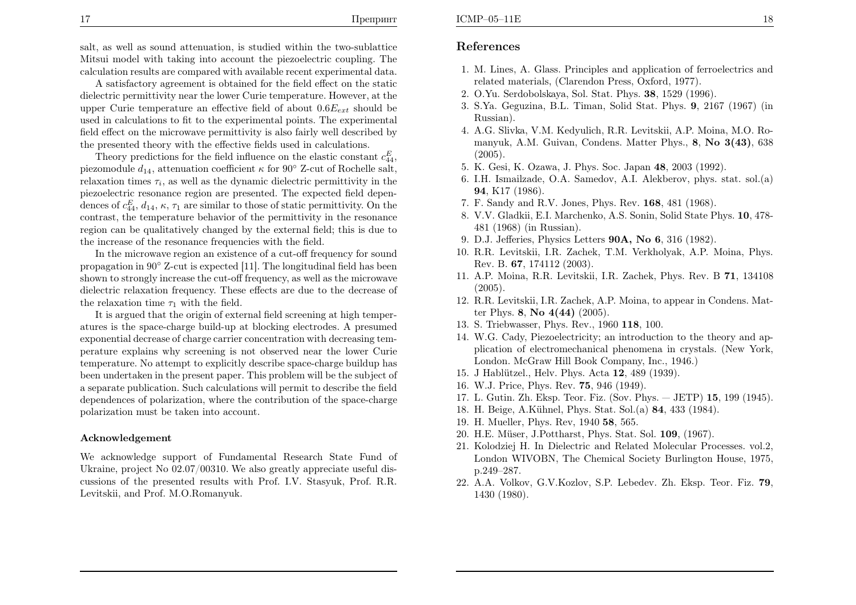salt, as well as sound attenuation, is studied within the two-sublattice Mitsui model with taking into account the <sup>p</sup>iezoelectric coupling. Thecalculation results are compared with available recent experimental data.

A satisfactory agreement is obtained for the field effect on the static dielectric permittivity near the lower Curie temperature. However, at theupper Curie temperature an effective field of about  $0.6E_{ext}$  should be used in calculations to fit to the experimental points. The experimental field effect on the microwave permittivity is also fairly well described bythe presented theory with the effective fields used in calculations.

Theory predictions for the field influence on the elastic constant  $c_{44}^E$ , piezomodule  $d_{14}$ , attenuation coefficient  $\kappa$  for 90° Z-cut of Rochelle salt, relaxation times  $\tau_i$ , as well as the dynamic dielectric permittivity in the <sup>p</sup>iezoelectric resonance region are presented. The expected field dependences of  $c_{44}^E$ ,  $d_{14}$ ,  $\kappa$ ,  $\tau_1$  are similar to those of static permittivity. On the contrast, the temperature behavior of the permittivity in the resonance region can be qualitatively changed by the external field; this is due tothe increase of the resonance frequencies with the field.

In the microwave region an existence of <sup>a</sup> cut-off frequency for sound propagation in <sup>90</sup>◦ Z-cut is expected [11]. The longitudinal field has been shown to strongly increase the cut-off frequency, as well as the microwave dielectric relaxation frequency. These effects are due to the decrease of the relaxation time  $\tau_1$  with the field.

 It is argued that the origin of external field screening at high temperatures is the space-charge build-up at blocking electrodes. <sup>A</sup> presumed exponential decrease of charge carrier concentration with decreasing temperature explains why screening is not observed near the lower Curie temperature. No attempt to explicitly describe space-charge buildup has been undertaken in the present paper. This problem will be the subject of <sup>a</sup> separate publication. Such calculations will permit to describe the field dependences of polarization, where the contribution of the space-charge polarization must be taken into account.

#### Acknowledgement

We acknowledge support of Fundamental Research State Fund of Ukraine, project No 02.07/00310. We also greatly appreciate useful discussions of the presented results with Prof. I.V. Stasyuk, Prof. R.R. Levitskii, and Prof. M.O.Romanyuk.

# References

- 1. M. Lines, A. Glass. Principles and application of ferroelectrics andrelated materials, (Clarendon Press, Oxford, 1977).
- 2. O.Yu. Serdobolskaya, Sol. Stat. Phys. <sup>38</sup>, <sup>1529</sup> (1996).
- 3. S.Ya. Geguzina, B.L. Timan, Solid Stat. Phys. <sup>9</sup>, <sup>2167</sup> (1967) (inRussian).
- 4. A.G. Slivka, V.M. Kedyulich, R.R. Levitskii, A.P. Moina, M.O. Romanyuk, A.M. Guivan, Condens. Matter Phys., 8, No 3(43), <sup>638</sup> $(2005)$ .
- 5. K. Gesi, K. Ozawa, J. Phys. Soc. Japan <sup>48</sup>, <sup>2003</sup> (1992).
- 6. I.H. Ismailzade, O.A. Samedov, A.I. Alekberov, <sup>p</sup>hys. stat. sol.(a)<sup>94</sup>, K17 (1986).
- 7. F. Sandy and R.V. Jones, Phys. Rev. <sup>168</sup>, <sup>481</sup> (1968).
- 8. V.V. Gladkii, E.I. Marchenko, A.S. Sonin, Solid State Phys. <sup>10</sup>, 478- <sup>481</sup> (1968) (in Russian).
- 9. D.J. Jefferies, Physics Letters  $90\text{\AA}$ , No  $6$ , 316 (1982).
- 10. R.R. Levitskii, I.R. Zachek, T.M. Verkholyak, A.P. Moina, Phys. Rev. B. <sup>67</sup>, <sup>174112</sup> (2003).
- 11. A.P. Moina, R.R. Levitskii, I.R. Zachek, Phys. Rev. B 71, 134108 (2005).
- 12. R.R. Levitskii, I.R. Zachek, A.P. Moina, to appear in Condens. Matter Phys. 8, No 4(44) (2005).
- 13. S. Triebwasser, Phys. Rev., <sup>1960</sup> <sup>118</sup>, 100.
- 14. W.G. Cady, Piezoelectricity; an introduction to the theory and ap<sup>p</sup>lication of electromechanical <sup>p</sup>henomena in crystals. (New York, London. McGraw Hill Book Company, Inc., 1946.)
- 15. J Hablützel., Helv. Phys. Acta  $12$ ,  $489$   $(1939)$ .
- 16. W.J. Price, Phys. Rev. <sup>75</sup>, <sup>946</sup> (1949).
- 17. L. Gutin. Zh. Eksp. Teor. Fiz. (Sov. Phys. JETP) <sup>15</sup>, <sup>199</sup> (1945).
- 18. H. Beige, A.K¨uhnel, Phys. Stat. Sol.(a) <sup>84</sup>, <sup>433</sup> (1984).
- 19. H. Mueller, Phys. Rev, <sup>1940</sup> <sup>58</sup>, 565.
- 20. H.E. Müser, J.Pottharst, Phys. Stat. Sol. 109, (1967).
- 21. Kolodziej H. In Dielectric and Related Molecular Processes. vol.2, London WIVOBN, The Chemical Society Burlington House, 1975, p.249–287.
- 22. A.A. Volkov, G.V.Kozlov, S.P. Lebedev. Zh. Eksp. Teor. Fiz. <sup>79</sup>, <sup>1430</sup> (1980).